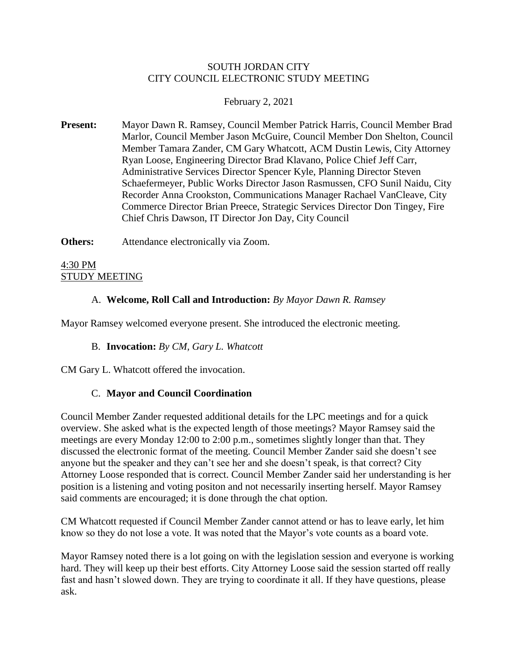### SOUTH JORDAN CITY CITY COUNCIL ELECTRONIC STUDY MEETING

### February 2, 2021

**Present:** Mayor Dawn R. Ramsey, Council Member Patrick Harris, Council Member Brad Marlor, Council Member Jason McGuire, Council Member Don Shelton, Council Member Tamara Zander, CM Gary Whatcott, ACM Dustin Lewis, City Attorney Ryan Loose, Engineering Director Brad Klavano, Police Chief Jeff Carr, Administrative Services Director Spencer Kyle, Planning Director Steven Schaefermeyer, Public Works Director Jason Rasmussen, CFO Sunil Naidu, City Recorder Anna Crookston, Communications Manager Rachael VanCleave, City Commerce Director Brian Preece, Strategic Services Director Don Tingey, Fire Chief Chris Dawson, IT Director Jon Day, City Council

**Others:** Attendance electronically via Zoom.

4:30 PM STUDY MEETING

# A. **Welcome, Roll Call and Introduction:** *By Mayor Dawn R. Ramsey*

Mayor Ramsey welcomed everyone present. She introduced the electronic meeting.

#### B. **Invocation:** *By CM, Gary L. Whatcott*

CM Gary L. Whatcott offered the invocation.

#### C. **Mayor and Council Coordination**

Council Member Zander requested additional details for the LPC meetings and for a quick overview. She asked what is the expected length of those meetings? Mayor Ramsey said the meetings are every Monday 12:00 to 2:00 p.m., sometimes slightly longer than that. They discussed the electronic format of the meeting. Council Member Zander said she doesn't see anyone but the speaker and they can't see her and she doesn't speak, is that correct? City Attorney Loose responded that is correct. Council Member Zander said her understanding is her position is a listening and voting positon and not necessarily inserting herself. Mayor Ramsey said comments are encouraged; it is done through the chat option.

CM Whatcott requested if Council Member Zander cannot attend or has to leave early, let him know so they do not lose a vote. It was noted that the Mayor's vote counts as a board vote.

Mayor Ramsey noted there is a lot going on with the legislation session and everyone is working hard. They will keep up their best efforts. City Attorney Loose said the session started off really fast and hasn't slowed down. They are trying to coordinate it all. If they have questions, please ask.